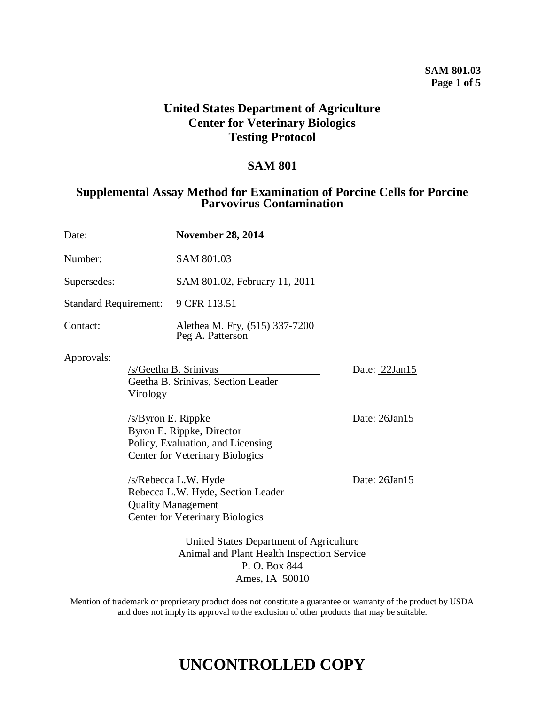#### **SAM 801.03 Page 1 of 5**

### **United States Department of Agriculture Center for Veterinary Biologics Testing Protocol**

#### **SAM 801**

#### **Supplemental Assay Method for Examination of Porcine Cells for Porcine Parvovirus Contamination**

| Date:                                                                                                  |  | <b>November 28, 2014</b>                                                                                                           |               |
|--------------------------------------------------------------------------------------------------------|--|------------------------------------------------------------------------------------------------------------------------------------|---------------|
| Number:                                                                                                |  | SAM 801.03                                                                                                                         |               |
| Supersedes:                                                                                            |  | SAM 801.02, February 11, 2011                                                                                                      |               |
| <b>Standard Requirement:</b>                                                                           |  | 9 CFR 113.51                                                                                                                       |               |
| Contact:                                                                                               |  | Alethea M. Fry, (515) 337-7200<br>Peg A. Patterson                                                                                 |               |
| Approvals:<br>Virology<br>$/s$ /Byron E. Rippke                                                        |  | /s/Geetha B. Srinivas<br>Geetha B. Srinivas, Section Leader                                                                        | Date: 22Jan15 |
|                                                                                                        |  | Byron E. Rippke, Director<br>Policy, Evaluation, and Licensing<br><b>Center for Veterinary Biologics</b>                           | Date: 26Jan15 |
|                                                                                                        |  | $/s/Rebecca$ L.W. Hyde<br>Rebecca L.W. Hyde, Section Leader<br><b>Quality Management</b><br><b>Center for Veterinary Biologics</b> | Date: 26Jan15 |
| United States Department of Agriculture<br>Animal and Plant Health Inspection Service<br>P. O. Box 844 |  |                                                                                                                                    |               |

Mention of trademark or proprietary product does not constitute a guarantee or warranty of the product by USDA and does not imply its approval to the exclusion of other products that may be suitable.

Ames, IA 50010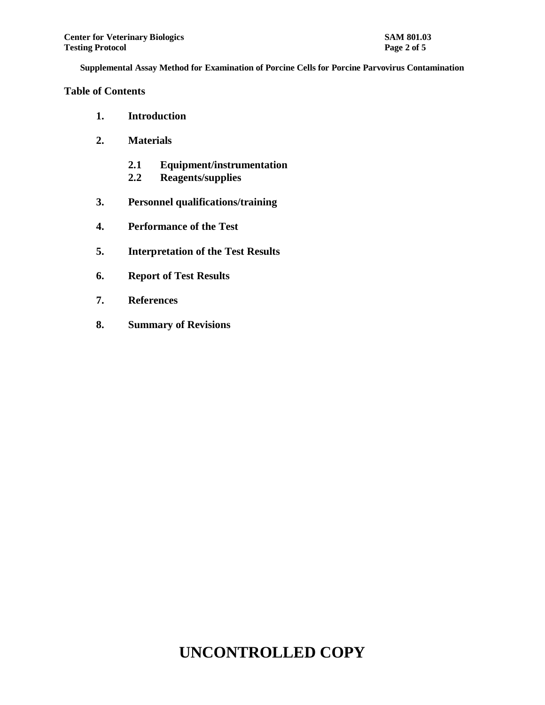#### **Table of Contents**

- **1. Introduction**
- **2. Materials**
	- **2.1 Equipment/instrumentation**
	- **2.2 Reagents/supplies**
- **3. Personnel qualifications/training**
- **4. Performance of the Test**
- **5. Interpretation of the Test Results**
- **6. Report of Test Results**
- **7. References**
- **8. Summary of Revisions**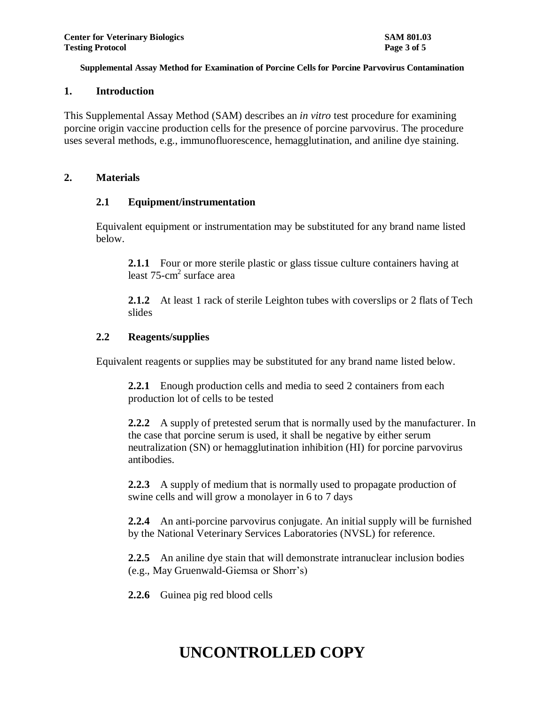#### **1. Introduction**

This Supplemental Assay Method (SAM) describes an *in vitro* test procedure for examining porcine origin vaccine production cells for the presence of porcine parvovirus. The procedure uses several methods, e.g., immunofluorescence, hemagglutination, and aniline dye staining.

#### **2. Materials**

#### **2.1 Equipment/instrumentation**

Equivalent equipment or instrumentation may be substituted for any brand name listed below.

**2.1.1** Four or more sterile plastic or glass tissue culture containers having at least 75-cm 2 surface area

**2.1.2** At least 1 rack of sterile Leighton tubes with coverslips or 2 flats of Tech slides

#### **2.2 Reagents/supplies**

Equivalent reagents or supplies may be substituted for any brand name listed below.

**2.2.1** Enough production cells and media to seed 2 containers from each production lot of cells to be tested

**2.2.2** A supply of pretested serum that is normally used by the manufacturer. In the case that porcine serum is used, it shall be negative by either serum neutralization (SN) or hemagglutination inhibition (HI) for porcine parvovirus antibodies.

**2.2.3** A supply of medium that is normally used to propagate production of swine cells and will grow a monolayer in 6 to 7 days

**2.2.4** An anti-porcine parvovirus conjugate. An initial supply will be furnished by the National Veterinary Services Laboratories (NVSL) for reference.

**2.2.5** An aniline dye stain that will demonstrate intranuclear inclusion bodies (e.g., May Gruenwald-Giemsa or Shorr's)

**2.2.6** Guinea pig red blood cells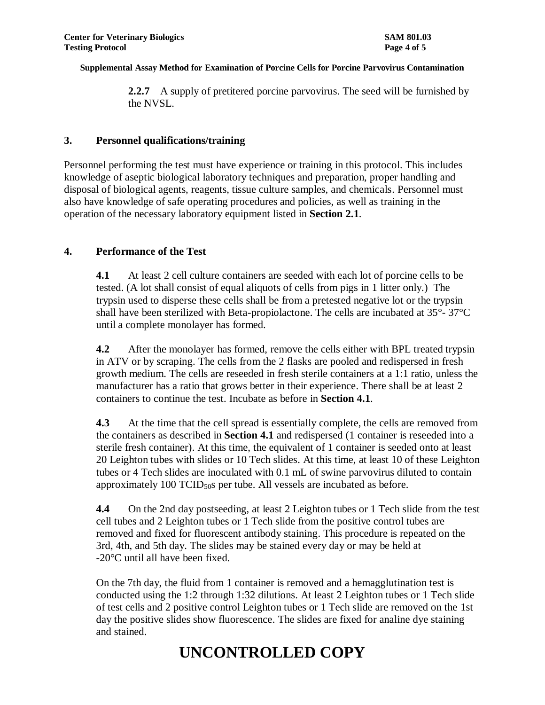**2.2.7** A supply of pretitered porcine parvovirus. The seed will be furnished by the NVSL.

#### **3. Personnel qualifications/training**

Personnel performing the test must have experience or training in this protocol. This includes knowledge of aseptic biological laboratory techniques and preparation, proper handling and disposal of biological agents, reagents, tissue culture samples, and chemicals. Personnel must also have knowledge of safe operating procedures and policies, as well as training in the operation of the necessary laboratory equipment listed in **Section 2.1**.

#### **4. Performance of the Test**

**4.1** At least 2 cell culture containers are seeded with each lot of porcine cells to be tested. (A lot shall consist of equal aliquots of cells from pigs in 1 litter only.) The trypsin used to disperse these cells shall be from a pretested negative lot or the trypsin shall have been sterilized with Beta-propiolactone. The cells are incubated at 35°- 37°C until a complete monolayer has formed.

**4.2** After the monolayer has formed, remove the cells either with BPL treated trypsin in ATV or by scraping. The cells from the 2 flasks are pooled and redispersed in fresh growth medium. The cells are reseeded in fresh sterile containers at a 1:1 ratio, unless the manufacturer has a ratio that grows better in their experience. There shall be at least 2 containers to continue the test. Incubate as before in **Section 4.1**.

**4.3** At the time that the cell spread is essentially complete, the cells are removed from the containers as described in **Section 4.1** and redispersed (1 container is reseeded into a sterile fresh container). At this time, the equivalent of 1 container is seeded onto at least 20 Leighton tubes with slides or 10 Tech slides. At this time, at least 10 of these Leighton tubes or 4 Tech slides are inoculated with 0.1 mL of swine parvovirus diluted to contain approximately  $100$  TCID $_{50}$ s per tube. All vessels are incubated as before.

**4.4** On the 2nd day postseeding, at least 2 Leighton tubes or 1 Tech slide from the test cell tubes and 2 Leighton tubes or 1 Tech slide from the positive control tubes are removed and fixed for fluorescent antibody staining. This procedure is repeated on the 3rd, 4th, and 5th day. The slides may be stained every day or may be held at -20°C until all have been fixed.

On the 7th day, the fluid from 1 container is removed and a hemagglutination test is conducted using the 1:2 through 1:32 dilutions. At least 2 Leighton tubes or 1 Tech slide of test cells and 2 positive control Leighton tubes or 1 Tech slide are removed on the 1st day the positive slides show fluorescence. The slides are fixed for analine dye staining and stained.